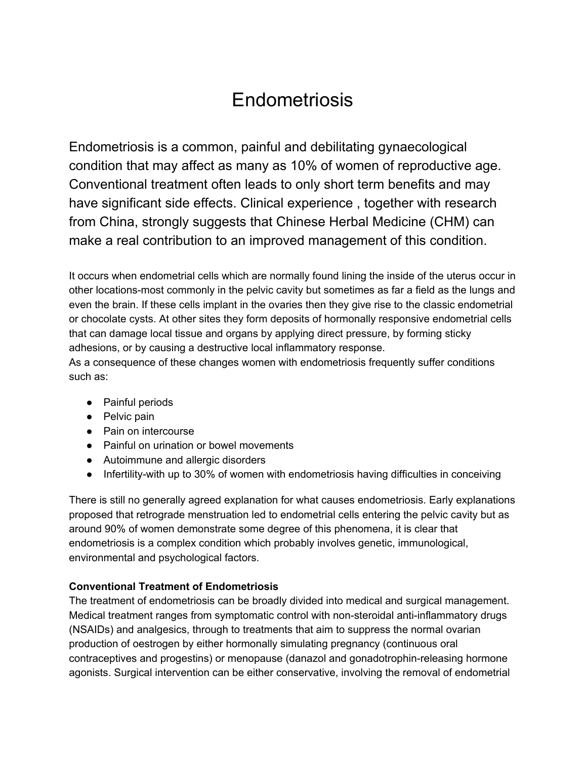# Endometriosis

Endometriosis is a common, painful and debilitating gynaecological condition that may affect as many as 10% of women of reproductive age. Conventional treatment often leads to only short term benefits and may have significant side effects. Clinical experience , together with research from China, strongly suggests that Chinese Herbal Medicine (CHM) can make a real contribution to an improved management of this condition.

It occurs when endometrial cells which are normally found lining the inside of the uterus occur in other locations-most commonly in the pelvic cavity but sometimes as far a field as the lungs and even the brain. If these cells implant in the ovaries then they give rise to the classic endometrial or chocolate cysts. At other sites they form deposits of hormonally responsive endometrial cells that can damage local tissue and organs by applying direct pressure, by forming sticky adhesions, or by causing a destructive local inflammatory response.

As a consequence of these changes women with endometriosis frequently suffer conditions such as:

- Painful periods
- Pelvic pain
- Pain on intercourse
- Painful on urination or bowel movements
- Autoimmune and allergic disorders
- Infertility-with up to 30% of women with endometriosis having difficulties in conceiving

There is still no generally agreed explanation for what causes endometriosis. Early explanations proposed that retrograde menstruation led to endometrial cells entering the pelvic cavity but as around 90% of women demonstrate some degree of this phenomena, it is clear that endometriosis is a complex condition which probably involves genetic, immunological, environmental and psychological factors.

# **Conventional Treatment of Endometriosis**

The treatment of endometriosis can be broadly divided into medical and surgical management. Medical treatment ranges from symptomatic control with non-steroidal anti-inflammatory drugs (NSAIDs) and analgesics, through to treatments that aim to suppress the normal ovarian production of oestrogen by either hormonally simulating pregnancy (continuous oral contraceptives and progestins) or menopause (danazol and gonadotrophin-releasing hormone agonists. Surgical intervention can be either conservative, involving the removal of endometrial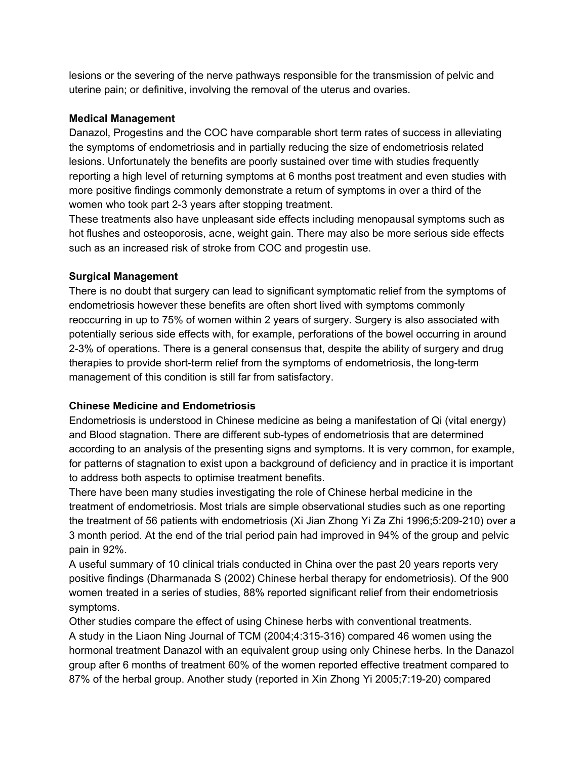lesions or the severing of the nerve pathways responsible for the transmission of pelvic and uterine pain; or definitive, involving the removal of the uterus and ovaries.

### **Medical Management**

Danazol, Progestins and the COC have comparable short term rates of success in alleviating the symptoms of endometriosis and in partially reducing the size of endometriosis related lesions. Unfortunately the benefits are poorly sustained over time with studies frequently reporting a high level of returning symptoms at 6 months post treatment and even studies with more positive findings commonly demonstrate a return of symptoms in over a third of the women who took part 2-3 years after stopping treatment.

These treatments also have unpleasant side effects including menopausal symptoms such as hot flushes and osteoporosis, acne, weight gain. There may also be more serious side effects such as an increased risk of stroke from COC and progestin use.

### **Surgical Management**

There is no doubt that surgery can lead to significant symptomatic relief from the symptoms of endometriosis however these benefits are often short lived with symptoms commonly reoccurring in up to 75% of women within 2 years of surgery. Surgery is also associated with potentially serious side effects with, for example, perforations of the bowel occurring in around 2-3% of operations. There is a general consensus that, despite the ability of surgery and drug therapies to provide short-term relief from the symptoms of endometriosis, the long-term management of this condition is still far from satisfactory.

# **Chinese Medicine and Endometriosis**

Endometriosis is understood in Chinese medicine as being a manifestation of Qi (vital energy) and Blood stagnation. There are different sub-types of endometriosis that are determined according to an analysis of the presenting signs and symptoms. It is very common, for example, for patterns of stagnation to exist upon a background of deficiency and in practice it is important to address both aspects to optimise treatment benefits.

There have been many studies investigating the role of Chinese herbal medicine in the treatment of endometriosis. Most trials are simple observational studies such as one reporting the treatment of 56 patients with endometriosis (Xi Jian Zhong Yi Za Zhi 1996;5:209-210) over a 3 month period. At the end of the trial period pain had improved in 94% of the group and pelvic pain in 92%.

A useful summary of 10 clinical trials conducted in China over the past 20 years reports very positive findings (Dharmanada S (2002) Chinese herbal therapy for endometriosis). Of the 900 women treated in a series of studies, 88% reported significant relief from their endometriosis symptoms.

Other studies compare the effect of using Chinese herbs with conventional treatments. A study in the Liaon Ning Journal of TCM (2004;4:315-316) compared 46 women using the hormonal treatment Danazol with an equivalent group using only Chinese herbs. In the Danazol group after 6 months of treatment 60% of the women reported effective treatment compared to 87% of the herbal group. Another study (reported in Xin Zhong Yi 2005;7:19-20) compared